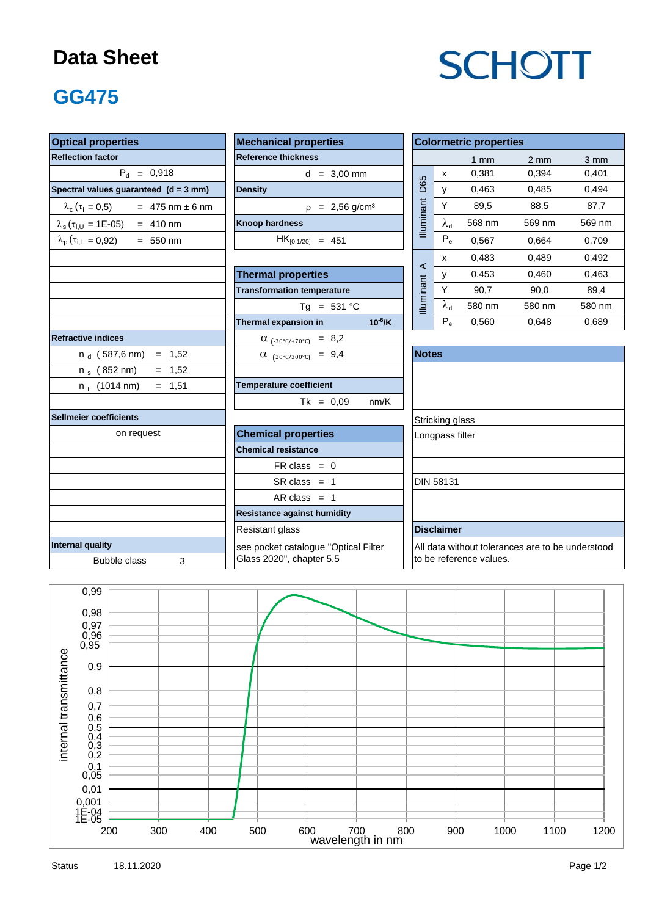#### **Data Sheet**

# **SCHOTT**

### **GG475**

| <b>Optical properties</b>                                  | <b>Mechanical properties</b>            |  | <b>Colormetric properties</b>                    |                         |        |        |                  |  |  |
|------------------------------------------------------------|-----------------------------------------|--|--------------------------------------------------|-------------------------|--------|--------|------------------|--|--|
| <b>Reflection factor</b>                                   | <b>Reference thickness</b>              |  |                                                  |                         |        |        | $3 \, \text{mm}$ |  |  |
| $P_{d} = 0,918$                                            | $d = 3,00$ mm                           |  | D65                                              | $\pmb{\mathsf{X}}$      | 0,381  | 0,394  | 0,401            |  |  |
| Spectral values guaranteed (d = 3 mm)                      | <b>Density</b>                          |  |                                                  | $\mathsf{V}$            | 0,463  | 0,485  | 0,494            |  |  |
| $\lambda_c(\tau_i = 0.5)$ = 475 nm ± 6 nm                  | $p = 2,56$ g/cm <sup>3</sup>            |  |                                                  | Y                       | 89,5   | 88,5   | 87.7             |  |  |
| $\lambda_s(\tau_{i,U} = 1E{\text -}05) = 410 \text{ nm}$   | <b>Knoop hardness</b>                   |  | Illuminant                                       | $\lambda_{\rm d}$       | 568 nm | 569 nm | 569 nm           |  |  |
| $\lambda_{\rm p}$ ( $\tau_{\rm i,L}$ = 0,92)<br>$= 550$ nm | $HK_{[0.1/20]} = 451$                   |  |                                                  | $P_e$                   | 0,567  | 0,664  | 0,709            |  |  |
|                                                            |                                         |  |                                                  | x                       | 0,483  | 0,489  | 0,492            |  |  |
|                                                            | <b>Thermal properties</b>               |  | $\prec$                                          | у                       | 0,453  | 0,460  | 0,463            |  |  |
|                                                            | <b>Transformation temperature</b>       |  | Illuminant                                       | Y                       | 90,7   | 90,0   | 89,4             |  |  |
|                                                            | $Tg = 531 °C$                           |  |                                                  | $\lambda_{\sf d}$       | 580 nm | 580 nm | 580 nm           |  |  |
|                                                            | Thermal expansion in<br>$10^{-6}$ /K    |  |                                                  | $P_e$                   | 0,560  | 0,648  | 0,689            |  |  |
| <b>Refractive indices</b>                                  | $\alpha$ <sub>(-30°C/+70°C)</sub> = 8,2 |  |                                                  |                         |        |        |                  |  |  |
| $n_d$ (587,6 nm) = 1,52                                    | $\alpha$ (20°C/300°C) = 9,4             |  | <b>Notes</b>                                     |                         |        |        |                  |  |  |
| n $_{\rm s}$ (852 nm)<br>$= 1,52$                          |                                         |  |                                                  |                         |        |        |                  |  |  |
| $= 1,51$<br>$n_{+}$ (1014 nm)                              | <b>Temperature coefficient</b>          |  |                                                  |                         |        |        |                  |  |  |
|                                                            | $Tk = 0,09$<br>nm/K                     |  |                                                  |                         |        |        |                  |  |  |
| Sellmeier coefficients                                     |                                         |  | Stricking glass                                  |                         |        |        |                  |  |  |
| on request                                                 | <b>Chemical properties</b>              |  | Longpass filter                                  |                         |        |        |                  |  |  |
|                                                            | <b>Chemical resistance</b>              |  |                                                  |                         |        |        |                  |  |  |
|                                                            | $FR \text{ class } = 0$                 |  |                                                  |                         |        |        |                  |  |  |
|                                                            | $SR class = 1$                          |  |                                                  | <b>DIN 58131</b>        |        |        |                  |  |  |
|                                                            | $AR class = 1$                          |  |                                                  |                         |        |        |                  |  |  |
|                                                            | <b>Resistance against humidity</b>      |  |                                                  |                         |        |        |                  |  |  |
|                                                            | Resistant glass                         |  |                                                  | <b>Disclaimer</b>       |        |        |                  |  |  |
| Internal quality                                           | see pocket catalogue "Optical Filter    |  | All data without tolerances are to be understood |                         |        |        |                  |  |  |
| <b>Bubble class</b><br>3                                   | Glass 2020", chapter 5.5                |  |                                                  | to be reference values. |        |        |                  |  |  |